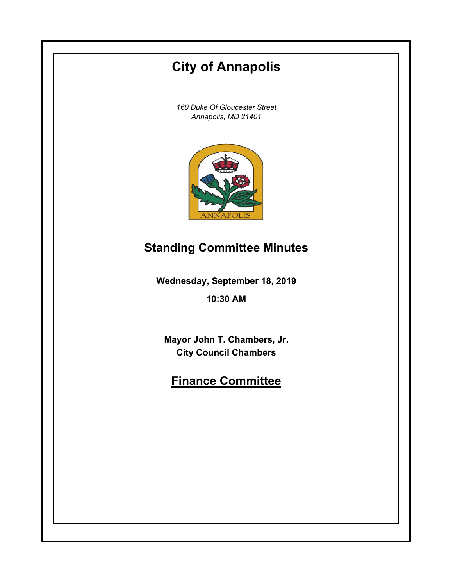# **Wednesday, September 18, 2019 10:30 AM City of Annapolis** *160 Duke Of Gloucester Street Annapolis, MD 21401* **Mayor John T. Chambers, Jr. City Council Chambers Finance Committee Standing Committee Minutes**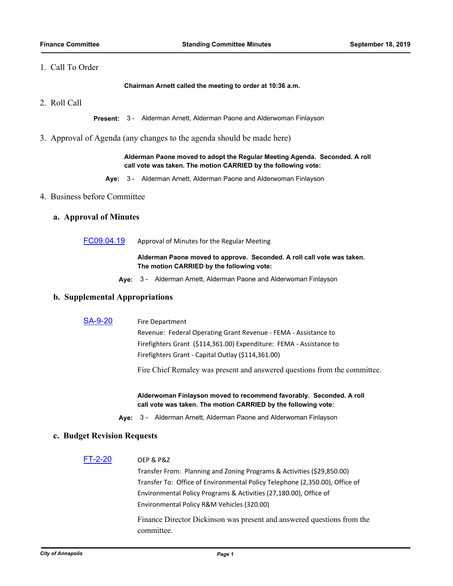# 1. Call To Order

**Chairman Arnett called the meeting to order at 10:36 a.m.**

2. Roll Call

**Present:** 3 - Alderman Arnett, Alderman Paone and Alderwoman Finlayson

3. Approval of Agenda (any changes to the agenda should be made here)

**Alderman Paone moved to adopt the Regular Meeting Agenda. Seconded. A roll call vote was taken. The motion CARRIED by the following vote:**

**Aye:** 3 - Alderman Arnett, Alderman Paone and Alderwoman Finlayson

### 4. Business before Committee

### **a. Approval of Minutes**

[FC09.04.19](http://annapolismd.legistar.com/gateway.aspx?m=l&id=/matter.aspx?key=4469) Approval of Minutes for the Regular Meeting

**Alderman Paone moved to approve. Seconded. A roll call vote was taken. The motion CARRIED by the following vote:**

**Aye:** 3 - Alderman Arnett, Alderman Paone and Alderwoman Finlayson

### **b. Supplemental Appropriations**

[SA-9-20](http://annapolismd.legistar.com/gateway.aspx?m=l&id=/matter.aspx?key=4408) Fire Department

Revenue: Federal Operating Grant Revenue - FEMA - Assistance to Firefighters Grant (\$114,361.00) Expenditure: FEMA - Assistance to Firefighters Grant - Capital Outlay (\$114,361.00)

Fire Chief Remaley was present and answered questions from the committee.

**Alderwoman Finlayson moved to recommend favorably. Seconded. A roll call vote was taken. The motion CARRIED by the following vote:**

**Aye:** 3 - Alderman Arnett, Alderman Paone and Alderwoman Finlayson

### **c. Budget Revision Requests**

[FT-2-20](http://annapolismd.legistar.com/gateway.aspx?m=l&id=/matter.aspx?key=4462) OEP & P&Z

Transfer From: Planning and Zoning Programs & Activities (\$29,850.00) Transfer To: Office of Environmental Policy Telephone (2,350.00), Office of Environmental Policy Programs & Activities (27,180.00), Office of Environmental Policy R&M Vehicles (320.00)

Finance Director Dickinson was present and answered questions from the committee.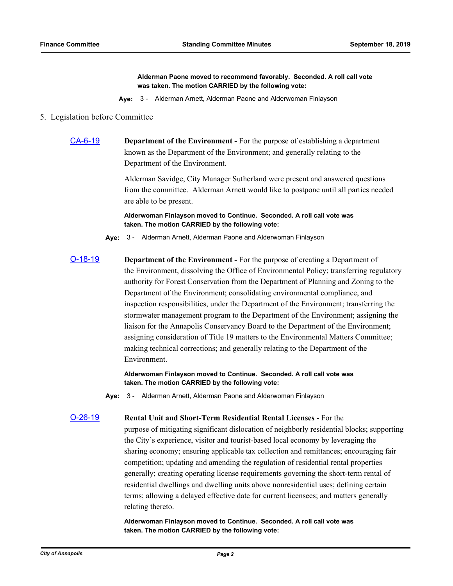**Alderman Paone moved to recommend favorably. Seconded. A roll call vote was taken. The motion CARRIED by the following vote:**

**Aye:** 3 - Alderman Arnett, Alderman Paone and Alderwoman Finlayson

### 5. Legislation before Committee

[CA-6-19](http://annapolismd.legistar.com/gateway.aspx?m=l&id=/matter.aspx?key=4160) **Department of the Environment -** For the purpose of establishing a department known as the Department of the Environment; and generally relating to the Department of the Environment.

> Alderman Savidge, City Manager Sutherland were present and answered questions from the committee. Alderman Arnett would like to postpone until all parties needed are able to be present.

**Alderwoman Finlayson moved to Continue. Seconded. A roll call vote was taken. The motion CARRIED by the following vote:**

**Aye:** 3 - Alderman Arnett, Alderman Paone and Alderwoman Finlayson

[O-18-19](http://annapolismd.legistar.com/gateway.aspx?m=l&id=/matter.aspx?key=4169) **Department of the Environment -** For the purpose of creating a Department of the Environment, dissolving the Office of Environmental Policy; transferring regulatory authority for Forest Conservation from the Department of Planning and Zoning to the Department of the Environment; consolidating environmental compliance, and inspection responsibilities, under the Department of the Environment; transferring the stormwater management program to the Department of the Environment; assigning the liaison for the Annapolis Conservancy Board to the Department of the Environment; assigning consideration of Title 19 matters to the Environmental Matters Committee; making technical corrections; and generally relating to the Department of the Environment.

> **Alderwoman Finlayson moved to Continue. Seconded. A roll call vote was taken. The motion CARRIED by the following vote:**

**Aye:** 3 - Alderman Arnett, Alderman Paone and Alderwoman Finlayson

[O-26-19](http://annapolismd.legistar.com/gateway.aspx?m=l&id=/matter.aspx?key=4295) **Rental Unit and Short-Term Residential Rental Licenses -** For the purpose of mitigating significant dislocation of neighborly residential blocks; supporting the City's experience, visitor and tourist-based local economy by leveraging the sharing economy; ensuring applicable tax collection and remittances; encouraging fair competition; updating and amending the regulation of residential rental properties generally; creating operating license requirements governing the short-term rental of residential dwellings and dwelling units above nonresidential uses; defining certain terms; allowing a delayed effective date for current licensees; and matters generally

> **Alderwoman Finlayson moved to Continue. Seconded. A roll call vote was taken. The motion CARRIED by the following vote:**

relating thereto.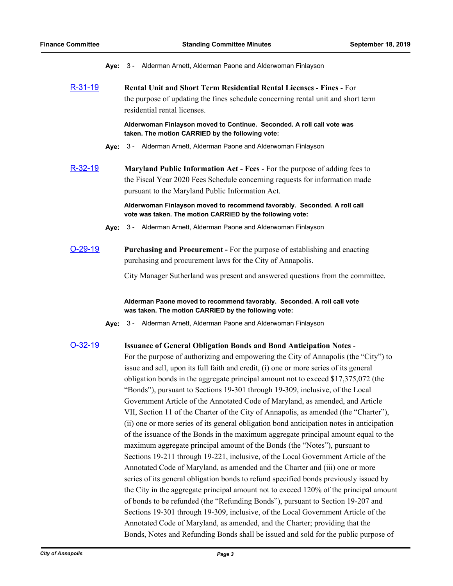**Aye:** 3 - Alderman Arnett, Alderman Paone and Alderwoman Finlayson

[R-31-19](http://annapolismd.legistar.com/gateway.aspx?m=l&id=/matter.aspx?key=4304) **Rental Unit and Short Term Residential Rental Licenses - Fines** - For the purpose of updating the fines schedule concerning rental unit and short term residential rental licenses.

> **Alderwoman Finlayson moved to Continue. Seconded. A roll call vote was taken. The motion CARRIED by the following vote:**

- **Aye:** 3 Alderman Arnett, Alderman Paone and Alderwoman Finlayson
- [R-32-19](http://annapolismd.legistar.com/gateway.aspx?m=l&id=/matter.aspx?key=4327) **Maryland Public Information Act Fees**  For the purpose of adding fees to the Fiscal Year 2020 Fees Schedule concerning requests for information made pursuant to the Maryland Public Information Act.

**Alderwoman Finlayson moved to recommend favorably. Seconded. A roll call vote was taken. The motion CARRIED by the following vote:**

- **Aye:** 3 Alderman Arnett, Alderman Paone and Alderwoman Finlayson
- [O-29-19](http://annapolismd.legistar.com/gateway.aspx?m=l&id=/matter.aspx?key=4396) **Purchasing and Procurement** For the purpose of establishing and enacting purchasing and procurement laws for the City of Annapolis.

City Manager Sutherland was present and answered questions from the committee.

**Alderman Paone moved to recommend favorably. Seconded. A roll call vote was taken. The motion CARRIED by the following vote:**

**Aye:** 3 - Alderman Arnett, Alderman Paone and Alderwoman Finlayson

### [O-32-19](http://annapolismd.legistar.com/gateway.aspx?m=l&id=/matter.aspx?key=4410) **Issuance of General Obligation Bonds and Bond Anticipation Notes** -

For the purpose of authorizing and empowering the City of Annapolis (the "City") to issue and sell, upon its full faith and credit, (i) one or more series of its general obligation bonds in the aggregate principal amount not to exceed \$17,375,072 (the "Bonds"), pursuant to Sections 19-301 through 19-309, inclusive, of the Local Government Article of the Annotated Code of Maryland, as amended, and Article VII, Section 11 of the Charter of the City of Annapolis, as amended (the "Charter"), (ii) one or more series of its general obligation bond anticipation notes in anticipation of the issuance of the Bonds in the maximum aggregate principal amount equal to the maximum aggregate principal amount of the Bonds (the "Notes"), pursuant to Sections 19-211 through 19-221, inclusive, of the Local Government Article of the Annotated Code of Maryland, as amended and the Charter and (iii) one or more series of its general obligation bonds to refund specified bonds previously issued by the City in the aggregate principal amount not to exceed 120% of the principal amount of bonds to be refunded (the "Refunding Bonds"), pursuant to Section 19-207 and Sections 19-301 through 19-309, inclusive, of the Local Government Article of the Annotated Code of Maryland, as amended, and the Charter; providing that the Bonds, Notes and Refunding Bonds shall be issued and sold for the public purpose of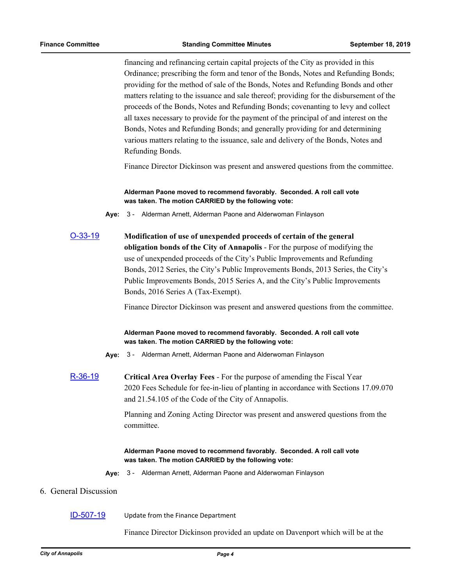financing and refinancing certain capital projects of the City as provided in this Ordinance; prescribing the form and tenor of the Bonds, Notes and Refunding Bonds; providing for the method of sale of the Bonds, Notes and Refunding Bonds and other matters relating to the issuance and sale thereof; providing for the disbursement of the proceeds of the Bonds, Notes and Refunding Bonds; covenanting to levy and collect all taxes necessary to provide for the payment of the principal of and interest on the Bonds, Notes and Refunding Bonds; and generally providing for and determining various matters relating to the issuance, sale and delivery of the Bonds, Notes and Refunding Bonds.

Finance Director Dickinson was present and answered questions from the committee.

### **Alderman Paone moved to recommend favorably. Seconded. A roll call vote was taken. The motion CARRIED by the following vote:**

**Aye:** 3 - Alderman Arnett, Alderman Paone and Alderwoman Finlayson

[O-33-19](http://annapolismd.legistar.com/gateway.aspx?m=l&id=/matter.aspx?key=4411) **Modification of use of unexpended proceeds of certain of the general obligation bonds of the City of Annapolis** - For the purpose of modifying the use of unexpended proceeds of the City's Public Improvements and Refunding Bonds, 2012 Series, the City's Public Improvements Bonds, 2013 Series, the City's Public Improvements Bonds, 2015 Series A, and the City's Public Improvements Bonds, 2016 Series A (Tax-Exempt).

Finance Director Dickinson was present and answered questions from the committee.

# **Alderman Paone moved to recommend favorably. Seconded. A roll call vote was taken. The motion CARRIED by the following vote:**

- **Aye:** 3 Alderman Arnett, Alderman Paone and Alderwoman Finlayson
- [R-36-19](http://annapolismd.legistar.com/gateway.aspx?m=l&id=/matter.aspx?key=4337) **Critical Area Overlay Fees**  For the purpose of amending the Fiscal Year 2020 Fees Schedule for fee-in-lieu of planting in accordance with Sections 17.09.070 and 21.54.105 of the Code of the City of Annapolis.

Planning and Zoning Acting Director was present and answered questions from the committee.

# **Alderman Paone moved to recommend favorably. Seconded. A roll call vote was taken. The motion CARRIED by the following vote:**

**Aye:** 3 - Alderman Arnett, Alderman Paone and Alderwoman Finlayson

# 6. General Discussion

### [ID-507-19](http://annapolismd.legistar.com/gateway.aspx?m=l&id=/matter.aspx?key=4291) Update from the Finance Department

Finance Director Dickinson provided an update on Davenport which will be at the